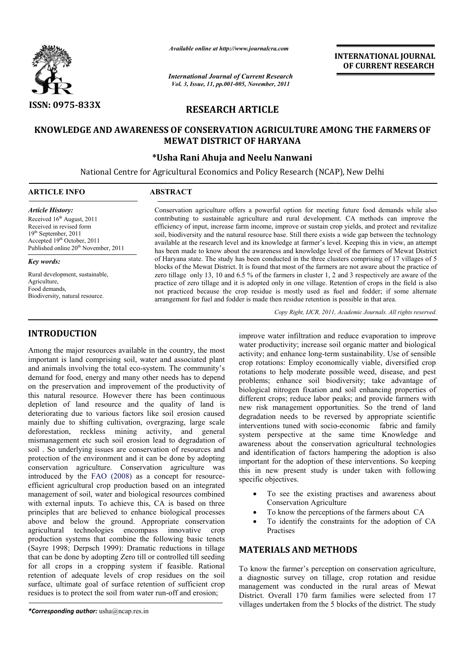

*Available online at http://www.journalcra.com*

*International Journal of Current Research Vol. 3, Issue, 11, pp.001-005, November, 2011*

**INTERNATIONAL INTERNATIONAL JOURNAL OF CURRENT RESEARCH** 

# **RESEARCH ARTICLE**

## **KNOWLEDGE AND AWARENESS OF CONSERVATION AGRICULTURE AMONG THE FARMERS OF KNOWLEDGE AND AWARENESS OF THE FARMERS MEWAT DISTRICT OF HARYANA**

## **\*Usha Rani Ahuja and Neelu Nanwani**

National Centre for Agricultural Economics and Policy Research (NCAP), New Delhi<br>
<u>Let</u>rane and Research (NCAP), New Delhi

| <b>ARTICLE INFO</b>                                                                                                                                                     | <b>ABSTRACT</b>                                                                                                                                                                                                                                                                                                                                                                                                                                                                                                         |
|-------------------------------------------------------------------------------------------------------------------------------------------------------------------------|-------------------------------------------------------------------------------------------------------------------------------------------------------------------------------------------------------------------------------------------------------------------------------------------------------------------------------------------------------------------------------------------------------------------------------------------------------------------------------------------------------------------------|
| <b>Article History:</b>                                                                                                                                                 | Conservation agriculture offers a powerful option for meeting future food demands while also                                                                                                                                                                                                                                                                                                                                                                                                                            |
| Received $16th$ August, 2011<br>Received in revised form<br>$19th$ September, 2011<br>Accepted $19th$ October, 2011<br>Published online 20 <sup>th</sup> November, 2011 | contributing to sustainable agriculture and rural development. CA methods can improve the<br>efficiency of input, increase farm income, improve or sustain crop yields, and protect and revitalize<br>soil, biodiversity and the natural resource base. Still there exists a wide gap between the technology<br>available at the research level and its knowledge at farmer's level. Keeping this in view, an attempt<br>has been made to know about the awareness and knowledge level of the farmers of Mewat District |

*Key words:*

Rural development, sustainable, Agriculture, Food demands, Biodiversity, natural resource.

## **INTRODUCTION**

Among the major resources available in the country, the most important is land comprising soil, water and associated plant and animals involving the total eco-system. The community's demand for food, energy and many other needs has to depend on the preservation and improvement of the productivity of this natural resource. However there has been continuous depletion of land resource and the quality of land is deteriorating due to various factors like soil erosion caused mainly due to shifting cultivation, overgrazing, large scale deforestation, reckless mining activity, and general mismanagement etc such soil erosion lead to degradation of soil . So underlying issues are conservation of resources and protection of the environment and it can be done by adopting conservation agriculture. Conservation agriculture was introduced by the FAO (2008) as a concept for resourceefficient agricultural crop production based on an integrated management of soil, water and biological resources combined with external inputs. To achieve this, CA is based on three principles that are believed to enhance biological processes above and below the ground. Appropriate conservation agricultural technologies encompass innovative crop production systems that combine the following basic tenets (Sayre 1998; Derpsch 1999): Dramatic reductions in tillage that can be done by adopting Zero till or controlled till s for all crops in a cropping system if feasible. Rational retention of adequate levels of crop residues on the soil surface, ultimate goal of surface retention of sufficient crop residues is to protect the soil from water run-off and erosion; total eco-system. The community's<br>nd many other needs has to depend<br>mprovement of the productivity of<br>wever there has been continuous<br>rce and the quality of land is<br>us factors like soil erosion caused<br>ultivation, overgrazi icultural crop production based on an integrated<br>t of soil, water and biological resources combined<br>al inputs. To achieve this, CA is based on three<br>hat are believed to enhance biological processes<br>below the ground. Approp

*\*Corresponding author:* usha@ncap.res.in

Copy Right, IJCR, 2011, Academic Journals. All rights reserved.

improve water infiltration and reduce evaporation to improve water productivity; increase soil organic matter and biological activity; and enhance long-term sustainability. Use of sensible crop rotations: Employ economically viable, diversified crop rotations to help moderate possible weed, disease, and pest problems; enhance soil biodiversity; take advantage of biological nitrogen fixation and soil enhancing properties of different crops; reduce labor peaks; and provide farmers with new risk management opportunities. So the trend of land degradation needs to be reversed by appropriate scientific new risk management opportunities. So the trend of land degradation needs to be reversed by appropriate scientific interventions tuned with socio-economic fabric and family system perspective at the same time Knowledge and awareness about the conservation agricultural technologies and identification of factors hampering the adoption is also important for the adoption of these interventions. So keeping this in new present study is under taken with following specific objectives. improve water infiltration and reduce evaporation to improve water productivity; increase soil organic matter and biological activity; and enhance long-term sustainability. Use of sensible crop rotations to help moderate p m perspective at the same time Knowledge and<br>eness about the conservation agricultural technologies<br>identification of factors hampering the adoption is also<br>rtant for the adoption of these interventions. So keeping<br>in new **INTERNATIONAL JOURNAL OF CURRENT RESEARCH CONDICATE (SEE ANTION ALL CORPORATE CONDICTLE TO AND THE FARMERS OF it is an alternal to pyelols, and protect and revialize exerce exists a wide gap between the technology every e** 

- To see the existing practises and awareness about Conservation Agriculture
- To know the perceptions of the farmers about CA
- To identify the constraints for the adoption of CA **Practises**

# **MATERIALS AND METHODS METHODS**

of Haryana state. The study has been conducted in the three clusters comprising of 17 villages of 5 of Haryana state. The study has been conducted in the three clusters comprising of 17 villages of 5 blocks of the Mewat District. It is found that most of the farmers are not aware about the practice of zero tillage only 13, 10 and 6.5 % of the farmers in cluster 1, 2 and 3 respectively are aware of the practice of zero tillage and it is adopted only in one village. Retention of crops in the field is also

only 13, 10 and 6.5 % of the farmers in cluster 1, 2 and 3 respectively are aware of the ero tillage and it is adopted only in one village. Retention of crops in the field is also d because the crop residue is mostly used

not practiced because the crop residue is mostly used as fuel and fodder; if arrangement for fuel and fodder is made then residue retention is possible in that area.

> To know the farmer's perception on conservation agriculture, a diagnostic survey on tillage, crop rotation and residue management was conducted in the rural areas of Mewat District. Overall 170 farm families were selected from 17 villages undertaken from the 5 blocks of the district. The study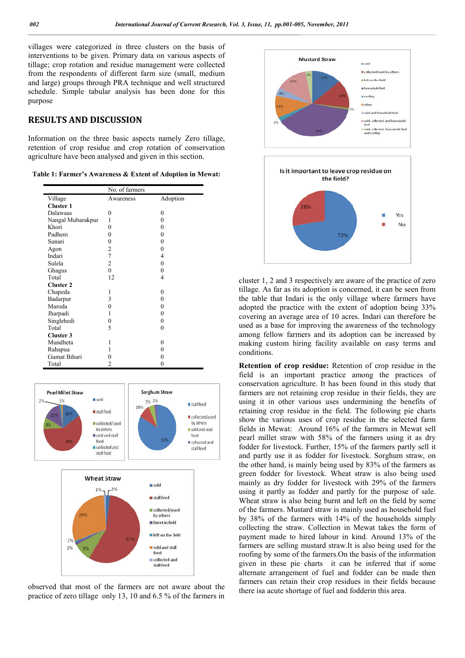villages were categorized in three clusters on the basis of interventions to be given. Primary data on various aspects of tillage; crop rotation and residue management were collected from the respondents of different farm size (small, medium and large) groups through PRA technique and well structured schedule. Simple tabular analysis has been done for this purpose

## **RESULTS AND DISCUSSION**

Information on the three basic aspects namely Zero tillage, retention of crop residue and crop rotation of conservation agriculture have been analysed and given in this section.

| Table 1: Farmer's Awareness & Extent of Adoption in Mewat: |  |  |  |  |  |  |  |  |  |
|------------------------------------------------------------|--|--|--|--|--|--|--|--|--|
|------------------------------------------------------------|--|--|--|--|--|--|--|--|--|

|                   | No. of farmers |          |  |  |  |
|-------------------|----------------|----------|--|--|--|
| Village           | Awareness      | Adoption |  |  |  |
| <b>Cluster 1</b>  |                |          |  |  |  |
| Dalawaas          | 0              | 0        |  |  |  |
| Nangal Mubarakpur | 1              | 0        |  |  |  |
| Khori             | 0              | 0        |  |  |  |
| Padheni           | $\theta$       | 0        |  |  |  |
| Sunari            | $\theta$       | 0        |  |  |  |
| Agon              | 2              | 0        |  |  |  |
| Indari            | $\overline{7}$ | 4        |  |  |  |
| Sulela            | 2              | 0        |  |  |  |
| Ghagus            | $\theta$       | 0        |  |  |  |
| Total             | 12             | 4        |  |  |  |
| <b>Cluster 2</b>  |                |          |  |  |  |
| Chapeda           | 1              | 0        |  |  |  |
| Badarpur          | 3              | 0        |  |  |  |
| Maroda            | 0              | 0        |  |  |  |
| Jharpadi          | 1              | 0        |  |  |  |
| Singlehedi        | 0              | 0        |  |  |  |
| Total             | 5              | 0        |  |  |  |
| Cluster 3         |                |          |  |  |  |
| Mundheta          | 1              | 0        |  |  |  |
| Rahapua           | 1              | 0        |  |  |  |
| Gumat Bihari      | 0              | 0        |  |  |  |
| Total             | $\overline{c}$ | 0        |  |  |  |



observed that most of the farmers are not aware about the practice of zero tillage only 13, 10 and 6.5 % of the farmers in



cluster 1, 2 and 3 respectively are aware of the practice of zero tillage. As far as its adoption is concerned, it can be seen from the table that Indari is the only village where farmers have adopted the practice with the extent of adoption being 33% covering an average area of 10 acres. Indari can therefore be used as a base for improving the awareness of the technology among fellow farmers and its adoption can be increased by making custom hiring facility available on easy terms and conditions.

**Retention of crop residue:** Retention of crop residue in the field is an important practice among the practices of conservation agriculture. It has been found in this study that farmers are not retaining crop residue in their fields, they are using it in other various uses undermining the benefits of retaining crop residue in the field. The following pie charts show the various uses of crop residue in the selected farm fields in Mewat: Around 16% of the farmers in Mewat sell pearl millet straw with 58% of the farmers using it as dry fodder for livestock. Further, 15% of the farmers partly sell it and partly use it as fodder for livestock. Sorghum straw, on the other hand, is mainly being used by 83% of the farmers as green fodder for livestock. Wheat straw is also being used mainly as dry fodder for livestock with 29% of the farmers using it partly as fodder and partly for the purpose of sale. Wheat straw is also being burnt and left on the field by some of the farmers. Mustard straw is mainly used as household fuel by 38% of the farmers with 14% of the households simply collecting the straw. Collection in Mewat takes the form of payment made to hired labour in kind. Around 13% of the farmers are selling mustard straw.It is also being used for the roofing by some of the farmers.On the basis of the information given in these pie charts it can be inferred that if some alternate arrangement of fuel and fodder can be made then farmers can retain their crop residues in their fields because there isa acute shortage of fuel and fodderin this area.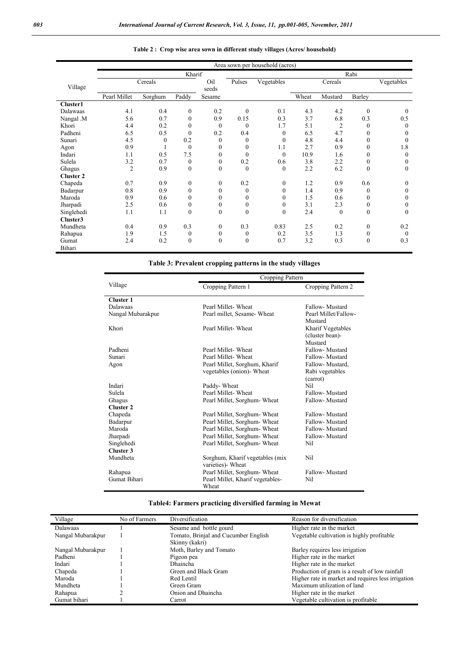|                  | Area sown per household (acres) |                  |                  |                  |                  |                  |       |              |              |              |
|------------------|---------------------------------|------------------|------------------|------------------|------------------|------------------|-------|--------------|--------------|--------------|
|                  | Kharif                          |                  |                  |                  | Rabi             |                  |       |              |              |              |
|                  |                                 | Cereals          |                  | Oil              | Pulses           | Vegetables       |       | Cereals      |              | Vegetables   |
| Village          |                                 |                  |                  | seeds            |                  |                  |       |              |              |              |
|                  | Pearl Millet                    | Sorghum          | Paddy            | Sesame           |                  |                  | Wheat | Mustard      | Barley       |              |
| Cluster1         |                                 |                  |                  |                  |                  |                  |       |              |              |              |
| Dalawaas         | 4.1                             | 0.4              | $\mathbf{0}$     | 0.2              | $\mathbf{0}$     | 0.1              | 4.3   | 4.2          | $\mathbf{0}$ | $\theta$     |
| Nangal .M        | 5.6                             | 0.7              | $\theta$         | 0.9              | 0.15             | 0.3              | 3.7   | 6.8          | 0.3          | 0.5          |
| Khori            | 4.4                             | 0.2              | $\mathbf{0}$     | $\mathbf{0}$     | $\mathbf{0}$     | 1.7              | 5.1   | 2            | $\theta$     | $\theta$     |
| Padheni          | 6.5                             | 0.5              | $\theta$         | 0.2              | 0.4              | $\boldsymbol{0}$ | 6.5   | 4.7          | $\theta$     | $\theta$     |
| Sunari           | 4.5                             | $\boldsymbol{0}$ | 0.2              | $\mathbf{0}$     | $\boldsymbol{0}$ | $\boldsymbol{0}$ | 4.8   | 4.4          | $\theta$     | $\theta$     |
| Agon             | 0.9                             |                  | $\theta$         | $\mathbf{0}$     | $\theta$         | 1.1              | 2.7   | 0.9          | $\theta$     | 1.8          |
| Indari           | 1.1                             | 0.5              | 7.5              | $\mathbf{0}$     | $\theta$         | $\Omega$         | 10.9  | 1.6          | $\theta$     | $\theta$     |
| Sulela           | 3.2                             | 0.7              | $\mathbf{0}$     | $\boldsymbol{0}$ | 0.2              | 0.6              | 3.8   | 2.2          | $\mathbf{0}$ | $\mathbf{0}$ |
| Ghagus           | $\overline{2}$                  | 0.9              | $\mathbf{0}$     | $\mathbf{0}$     | $\theta$         | $\mathbf{0}$     | 2.2   | 6.2          | $\theta$     | $\theta$     |
| <b>Cluster 2</b> |                                 |                  |                  |                  |                  |                  |       |              |              |              |
| Chapeda          | 0.7                             | 0.9              | $\mathbf{0}$     | $\boldsymbol{0}$ | 0.2              | $\mathbf{0}$     | 1.2   | 0.9          | 0.6          | $\theta$     |
| Badarpur         | 0.8                             | 0.9              | $\Omega$         | $\mathbf{0}$     | $\theta$         | $\theta$         | 1.4   | 0.9          | $\theta$     | $\mathbf{0}$ |
| Maroda           | 0.9                             | 0.6              | $\mathbf{0}$     | $\mathbf{0}$     | $\boldsymbol{0}$ | $\boldsymbol{0}$ | 1.5   | 0.6          | $\theta$     | $\mathbf{0}$ |
| Jharpadi         | 2.5                             | 0.6              | $\mathbf{0}$     | $\boldsymbol{0}$ | 0                | 0                | 3.1   | 2.3          | $\mathbf{0}$ | $\mathbf{0}$ |
| Singlehedi       | 1.1                             | 1.1              | $\mathbf{0}$     | $\boldsymbol{0}$ | $\mathbf{0}$     | $\mathbf{0}$     | 2.4   | $\mathbf{0}$ | $\mathbf{0}$ | $\mathbf{0}$ |
| Cluster3         |                                 |                  |                  |                  |                  |                  |       |              |              |              |
| Mundheta         | 0.4                             | 0.9              | 0.3              | $\boldsymbol{0}$ | 0.3              | 0.83             | 2.5   | 0.2          | $\mathbf{0}$ | 0.2          |
| Rahapua          | 1.9                             | 1.5              | $\boldsymbol{0}$ | $\boldsymbol{0}$ | $\boldsymbol{0}$ | 0.2              | 3.5   | 1.3          | $\mathbf{0}$ | $\mathbf{0}$ |
| Gumat            | 2.4                             | 0.2              | $\Omega$         | $\mathbf{0}$     | $\theta$         | 0.7              | 3.2   | 0.3          | $\theta$     | 0.3          |
| Bihari           |                                 |                  |                  |                  |                  |                  |       |              |              |              |

### **Table 2 : Crop wise area sown in different study villages (Acres/ household)**

## **Table 3: Prevalent cropping patterns in the study villages**

|                   | Cropping Pattern                                                                 |                                                |  |  |  |  |
|-------------------|----------------------------------------------------------------------------------|------------------------------------------------|--|--|--|--|
| Village           | Cropping Pattern 1                                                               | Cropping Pattern 2                             |  |  |  |  |
| <b>Cluster 1</b>  |                                                                                  |                                                |  |  |  |  |
| Dalawaas          | Pearl Millet-Wheat                                                               | Fallow-Mustard                                 |  |  |  |  |
| Nangal Mubarakpur | Pearl millet, Sesame-Wheat                                                       | Pearl Millet/Fallow-                           |  |  |  |  |
| Khori             | Mustard<br>Pearl Millet-Wheat<br>Kharif Vegetables<br>(cluster bean)-<br>Mustard |                                                |  |  |  |  |
| Padheni           | Pearl Millet-Wheat                                                               | Fallow-Mustard                                 |  |  |  |  |
| Sunari            | Pearl Millet-Wheat                                                               | Fallow-Mustard                                 |  |  |  |  |
| Agon              | Pearl Millet, Sorghum, Kharif<br>vegetables (onion) Wheat                        | Fallow-Mustard,<br>Rabi vegetables<br>(carrot) |  |  |  |  |
| Indari            | Paddy-Wheat                                                                      | Nil                                            |  |  |  |  |
| Sulela            | Pearl Millet-Wheat                                                               | Fallow-Mustard                                 |  |  |  |  |
| Ghagus            | Pearl Millet, Sorghum-Wheat                                                      | Fallow-Mustard                                 |  |  |  |  |
| <b>Cluster 2</b>  |                                                                                  |                                                |  |  |  |  |
| Chapeda           | Pearl Millet, Sorghum-Wheat                                                      | Fallow-Mustard                                 |  |  |  |  |
| Badarpur          | Pearl Millet, Sorghum- Wheat                                                     | Fallow-Mustard                                 |  |  |  |  |
| Maroda            | Pearl Millet, Sorghum- Wheat                                                     | Fallow-Mustard                                 |  |  |  |  |
| Jharpadi          | Pearl Millet, Sorghum-Wheat                                                      | Fallow-Mustard                                 |  |  |  |  |
| Singlehedi        | Pearl Millet, Sorghum- Wheat                                                     | Nil                                            |  |  |  |  |
| Cluster 3         |                                                                                  |                                                |  |  |  |  |
| Mundheta          | Sorghum, Kharif vegetables (mix<br>varieties) Wheat                              | Nil                                            |  |  |  |  |
| Rahapua           | Pearl Millet, Sorghum- Wheat                                                     | Fallow-Mustard                                 |  |  |  |  |
| Gumat Bihari      | Pearl Millet, Kharif vegetables-<br>Wheat                                        | Nil                                            |  |  |  |  |

# **Table4: Farmers practicing diversified farming in Mewat**

| Village           | No of Farmers | Diversification                      | Reason for diversification                         |
|-------------------|---------------|--------------------------------------|----------------------------------------------------|
| <b>Dalawaas</b>   |               | Sesame and bottle gourd              | Higher rate in the market                          |
| Nangal Mubarakpur |               | Tomato, Brinjal and Cucumber English | Vegetable cultivation is highly profitable         |
|                   |               | Skinny (kakri)                       |                                                    |
| Nangal Mubarakpur |               | Moth, Barley and Tomato              | Barley requires less irrigation                    |
| Padheni           |               | Pigeon pea                           | Higher rate in the market                          |
| Indari            |               | Dhaincha                             | Higher rate in the market                          |
| Chapeda           |               | Green and Black Gram                 | Production of gram is a result of low rainfall     |
| Maroda            |               | Red Lentil                           | Higher rate in market and requires less irrigation |
| Mundheta          |               | Green Gram                           | Maximum utilization of land                        |
| Rahapua           |               | Onion and Dhaincha                   | Higher rate in the market                          |
| Gumat bihari      |               | Carrot                               | Vegetable cultivation is profitable                |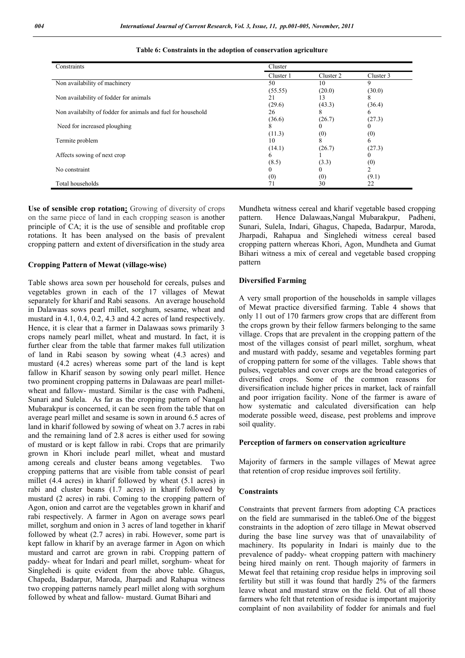| Constraints                                                  | Cluster   |           |           |
|--------------------------------------------------------------|-----------|-----------|-----------|
|                                                              | Cluster 1 | Cluster 2 | Cluster 3 |
| Non availability of machinery                                | 50        | 10        | 9         |
|                                                              | (55.55)   | (20.0)    | (30.0)    |
| Non availability of fodder for animals                       | 21        | 13        | ◠         |
|                                                              | (29.6)    | (43.3)    | (36.4)    |
| Non availabilty of fodder for animals and fuel for household | 26        |           |           |
|                                                              | (36.6)    | (26.7)    | (27.3)    |
| Need for increased ploughing                                 |           |           |           |
|                                                              | (11.3)    | (0)       | (0)       |
| Termite problem                                              | 10        | 8         | 6         |
|                                                              | (14.1)    | (26.7)    | (27.3)    |
| Affects sowing of next crop                                  |           |           |           |
|                                                              | (8.5)     | (3.3)     | (0)       |
| No constraint                                                |           |           |           |
|                                                              | (0)       | (0)       | (9.1)     |
| Total households                                             |           | 30        | 22        |

#### **Table 6: Constraints in the adoption of conservation agriculture**

**Use of sensible crop rotation:** Growing of diversity of crops on the same piece of land in each cropping season is another principle of CA; it is the use of sensible and profitable crop rotations. It has been analysed on the basis of prevalent cropping pattern and extent of diversification in the study area

### **Cropping Pattern of Mewat (village-wise)**

Table shows area sown per household for cereals, pulses and vegetables grown in each of the 17 villages of Mewat separately for kharif and Rabi seasons. An average household in Dalawaas sows pearl millet, sorghum, sesame, wheat and mustard in 4.1, 0.4, 0.2, 4.3 and 4.2 acres of land respectively. Hence, it is clear that a farmer in Dalawaas sows primarily 3 crops namely pearl millet, wheat and mustard. In fact, it is further clear from the table that farmer makes full utilization of land in Rabi season by sowing wheat (4.3 acres) and mustard (4.2 acres) whereas some part of the land is kept fallow in Kharif season by sowing only pearl millet. Hence two prominent cropping patterns in Dalawaas are pearl milletwheat and fallow- mustard. Similar is the case with Padheni, Sunari and Sulela. As far as the cropping pattern of Nangal Mubarakpur is concerned, it can be seen from the table that on average pearl millet and sesame is sown in around 6.5 acres of land in kharif followed by sowing of wheat on 3.7 acres in rabi and the remaining land of 2.8 acres is either used for sowing of mustard or is kept fallow in rabi. Crops that are primarily grown in Khori include pearl millet, wheat and mustard among cereals and cluster beans among vegetables. Two cropping patterns that are visible from table consist of pearl millet (4.4 acres) in kharif followed by wheat (5.1 acres) in rabi and cluster beans (1.7 acres) in kharif followed by mustard (2 acres) in rabi. Coming to the cropping pattern of Agon, onion and carrot are the vegetables grown in kharif and rabi respectively. A farmer in Agon on average sows pearl millet, sorghum and onion in 3 acres of land together in kharif followed by wheat (2.7 acres) in rabi. However, some part is kept fallow in kharif by an average farmer in Agon on which mustard and carrot are grown in rabi. Cropping pattern of paddy- wheat for Indari and pearl millet, sorghum- wheat for Singlehedi is quite evident from the above table. Ghagus, Chapeda, Badarpur, Maroda, Jharpadi and Rahapua witness two cropping patterns namely pearl millet along with sorghum followed by wheat and fallow- mustard. Gumat Bihari and

Mundheta witness cereal and kharif vegetable based cropping pattern. Hence Dalawaas,Nangal Mubarakpur, Padheni, Sunari, Sulela, Indari, Ghagus, Chapeda, Badarpur, Maroda, Jharpadi, Rahapua and Singlehedi witness cereal based cropping pattern whereas Khori, Agon, Mundheta and Gumat Bihari witness a mix of cereal and vegetable based cropping pattern

### **Diversified Farming**

A very small proportion of the households in sample villages of Mewat practice diversified farming. Table 4 shows that only 11 out of 170 farmers grow crops that are different from the crops grown by their fellow farmers belonging to the same village. Crops that are prevalent in the cropping pattern of the most of the villages consist of pearl millet, sorghum, wheat and mustard with paddy, sesame and vegetables forming part of cropping pattern for some of the villages. Table shows that pulses, vegetables and cover crops are the broad categories of diversified crops. Some of the common reasons for diversification include higher prices in market, lack of rainfall and poor irrigation facility. None of the farmer is aware of how systematic and calculated diversification can help moderate possible weed, disease, pest problems and improve soil quality.

### **Perception of farmers on conservation agriculture**

Majority of farmers in the sample villages of Mewat agree that retention of crop residue improves soil fertility.

### **Constraints**

Constraints that prevent farmers from adopting CA practices on the field are summarised in the table6.One of the biggest constraints in the adoption of zero tillage in Mewat observed during the base line survey was that of unavailability of machinery. Its popularity in Indari is mainly due to the prevalence of paddy- wheat cropping pattern with machinery being hired mainly on rent. Though majority of farmers in Mewat feel that retaining crop residue helps in improving soil fertility but still it was found that hardly 2% of the farmers leave wheat and mustard straw on the field. Out of all those farmers who felt that retention of residue is important majority complaint of non availability of fodder for animals and fuel